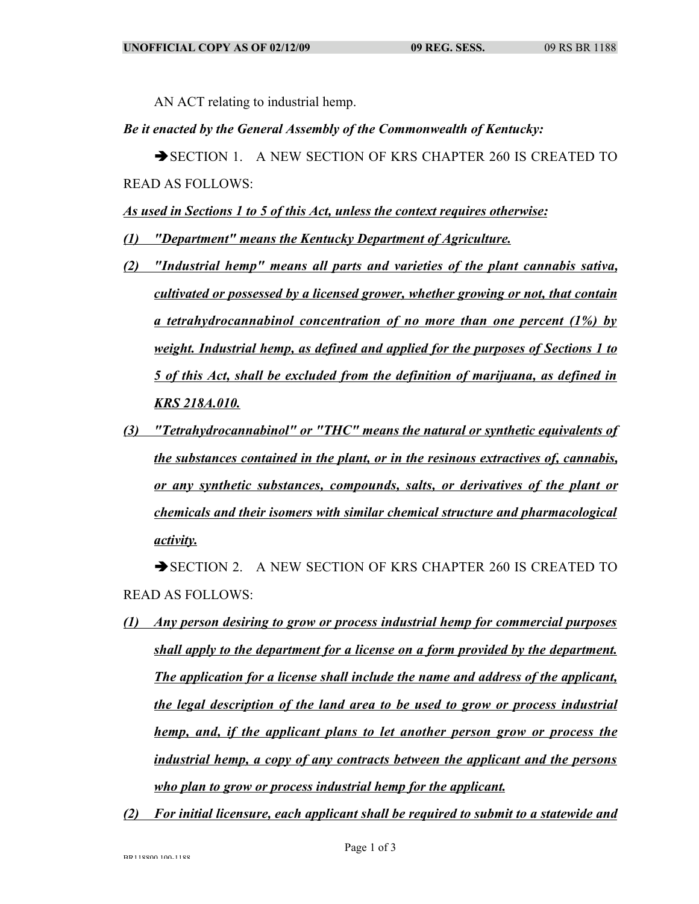AN ACT relating to industrial hemp.

## *Be it enacted by the General Assembly of the Commonwealth of Kentucky:*

SECTION 1. A NEW SECTION OF KRS CHAPTER 260 IS CREATED TO READ AS FOLLOWS:

*As used in Sections 1 to 5 of this Act, unless the context requires otherwise:*

*(1) "Department" means the Kentucky Department of Agriculture.*

- *(2) "Industrial hemp" means all parts and varieties of the plant cannabis sativa, cultivated or possessed by a licensed grower, whether growing or not, that contain a tetrahydrocannabinol concentration of no more than one percent (1%) by weight. Industrial hemp, as defined and applied for the purposes of Sections 1 to 5 of this Act, shall be excluded from the definition of marijuana, as defined in KRS 218A.010.*
- *(3) "Tetrahydrocannabinol" or "THC" means the natural or synthetic equivalents of the substances contained in the plant, or in the resinous extractives of, cannabis, or any synthetic substances, compounds, salts, or derivatives of the plant or chemicals and their isomers with similar chemical structure and pharmacological activity.*

SECTION 2 A NEW SECTION OF KRS CHAPTER 260 IS CREATED TO READ AS FOLLOWS:

- *(1) Any person desiring to grow or process industrial hemp for commercial purposes shall apply to the department for a license on a form provided by the department. The application for a license shall include the name and address of the applicant, the legal description of the land area to be used to grow or process industrial hemp, and, if the applicant plans to let another person grow or process the industrial hemp, a copy of any contracts between the applicant and the persons who plan to grow or process industrial hemp for the applicant.*
- *(2) For initial licensure, each applicant shall be required to submit to a statewide and*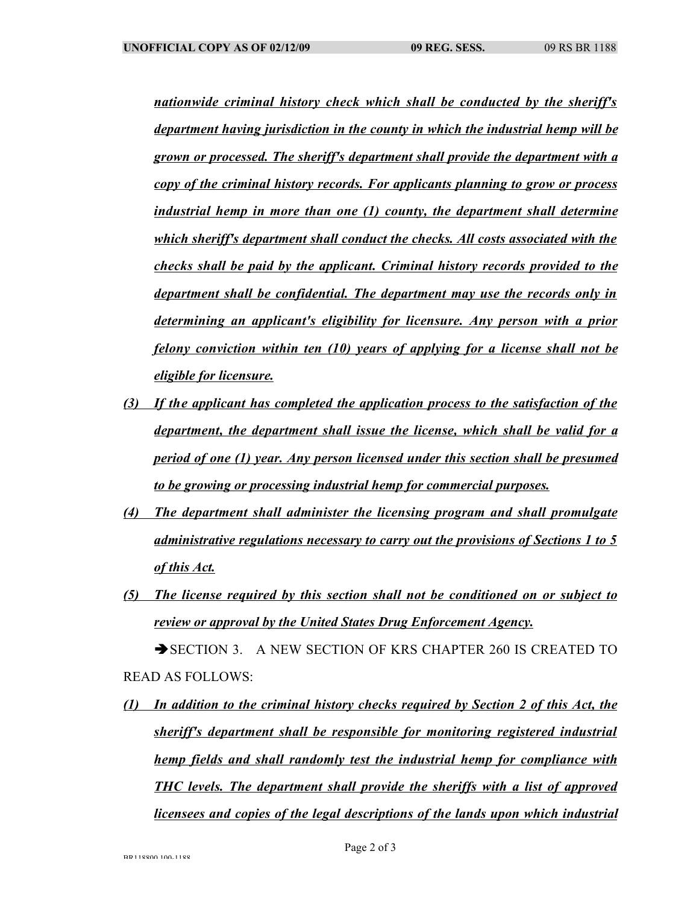*nationwide criminal history check which shall be conducted by the sheriff's department having jurisdiction in the county in which the industrial hemp will be grown or processed. The sheriff's department shall provide the department with a copy of the criminal history records. For applicants planning to grow or process industrial hemp in more than one (1) county, the department shall determine which sheriff's department shall conduct the checks. All costs associated with the checks shall be paid by the applicant. Criminal history records provided to the department shall be confidential. The department may use the records only in determining an applicant's eligibility for licensure. Any person with a prior felony conviction within ten (10) years of applying for a license shall not be eligible for licensure.*

- *(3) If the applicant has completed the application process to the satisfaction of the department, the department shall issue the license, which shall be valid for a period of one (1) year. Any person licensed under this section shall be presumed to be growing or processing industrial hemp for commercial purposes.*
- *(4) The department shall administer the licensing program and shall promulgate administrative regulations necessary to carry out the provisions of Sections 1 to 5 of this Act.*
- *(5) The license required by this section shall not be conditioned on or subject to review or approval by the United States Drug Enforcement Agency.*

SECTION 3. A NEW SECTION OF KRS CHAPTER 260 IS CREATED TO READ AS FOLLOWS:

*(1) In addition to the criminal history checks required by Section 2 of this Act, the sheriff's department shall be responsible for monitoring registered industrial hemp fields and shall randomly test the industrial hemp for compliance with THC levels. The department shall provide the sheriffs with a list of approved licensees and copies of the legal descriptions of the lands upon which industrial*